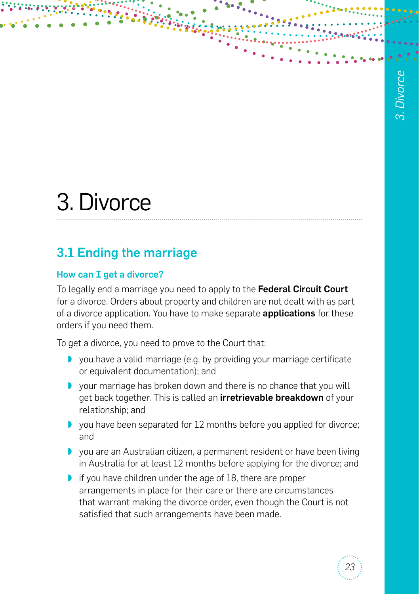# 3. Divorce

# 3.1 Ending the marriage

# How can I get a divorce?

To legally end a marriage you need to apply to the Federal Circuit Court for a divorce. Orders about property and children are not dealt with as part of a divorce application. You have to make separate **applications** for these orders if you need them.

To get a divorce, you need to prove to the Court that:

- ◗ you have a valid marriage (e.g. by providing your marriage certificate or equivalent documentation); and
- ◗ your marriage has broken down and there is no chance that you will get back together. This is called an *irretrievable breakdown* of your relationship; and
- ◗ you have been separated for 12 months before you applied for divorce; and
- ◗ you are an Australian citizen, a permanent resident or have been living in Australia for at least 12 months before applying for the divorce; and
- if you have children under the age of 18, there are proper arrangements in place for their care or there are circumstances that warrant making the divorce order, even though the Court is not satisfied that such arrangements have been made.

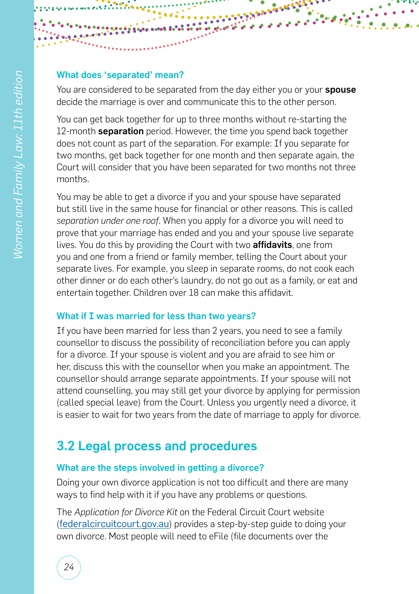#### What does 'separated' mean?

You are considered to be separated from the day either you or your **spouse** decide the marriage is over and communicate this to the other person.

You can get back together for up to three months without re-starting the 12-month **separation** period. However, the time you spend back together does not count as part of the separation. For example: If you separate for two months, get back together for one month and then separate again, the Court will consider that you have been separated for two months not three months.

You may be able to get a divorce if you and your spouse have separated but still live in the same house for financial or other reasons. This is called *separation under one roof*. When you apply for a divorce you will need to prove that your marriage has ended and you and your spouse live separate lives. You do this by providing the Court with two affidavits, one from you and one from a friend or family member, telling the Court about your separate lives. For example, you sleep in separate rooms, do not cook each other dinner or do each other's laundry, do not go out as a family, or eat and entertain together. Children over 18 can make this affidavit.

#### What if I was married for less than two years?

If you have been married for less than 2 years, you need to see a family counsellor to discuss the possibility of reconciliation before you can apply for a divorce. If your spouse is violent and you are afraid to see him or her, discuss this with the counsellor when you make an appointment. The counsellor should arrange separate appointments. If your spouse will not attend counselling, you may still get your divorce by applying for permission (called special leave) from the Court. Unless you urgently need a divorce, it is easier to wait for two years from the date of marriage to apply for divorce.

# 3.2 Legal process and procedures

#### What are the steps involved in getting a divorce?

Doing your own divorce application is not too difficult and there are many ways to find help with it if you have any problems or questions.

The *Application for Divorce Kit* on the Federal Circuit Court website ([federalcircuitcourt.gov.au](http://www.federalcircuitcourt.gov.au)) provides a step-by-step guide to doing your own divorce. Most people will need to eFile (file documents over the

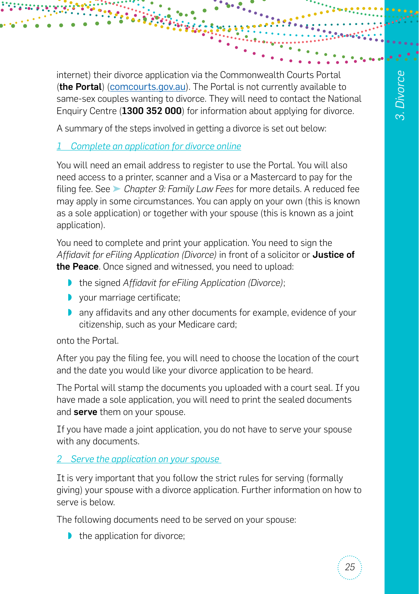internet) their divorce application via the Commonwealth Courts Portal (the Portal) ([comcourts.gov.au](http://comcourts.gov.au)). The Portal is not currently available to same-sex couples wanting to divorce. They will need to contact the National Enquiry Centre (1300 352 000) for information about applying for divorce.

A summary of the steps involved in getting a divorce is set out below:

# *1 Complete an application for divorce online*

You will need an email address to register to use the Portal. You will also need access to a printer, scanner and a Visa or a Mastercard to pay for the filing fee. See ➤ *Chapter 9: Family Law Fees* for more details. A reduced fee may apply in some circumstances. You can apply on your own (this is known as a sole application) or together with your spouse (this is known as a joint application).

You need to complete and print your application. You need to sign the *Affidavit for eFiling Application (Divorce)* in front of a solicitor or Justice of the Peace. Once signed and witnessed, you need to upload:

- ◗ the signed *Affidavit for eFiling Application (Divorce)*;
- ◗ your marriage certificate;
- ◗ any affidavits and any other documents for example, evidence of your citizenship, such as your Medicare card;

onto the Portal.

After you pay the filing fee, you will need to choose the location of the court and the date you would like your divorce application to be heard.

The Portal will stamp the documents you uploaded with a court seal. If you have made a sole application, you will need to print the sealed documents and serve them on your spouse.

If you have made a joint application, you do not have to serve your spouse with any documents.

# *2 Serve the application on your spouse*

It is very important that you follow the strict rules for serving (formally giving) your spouse with a divorce application. Further information on how to serve is below.

The following documents need to be served on your spouse:

■ the application for divorce;

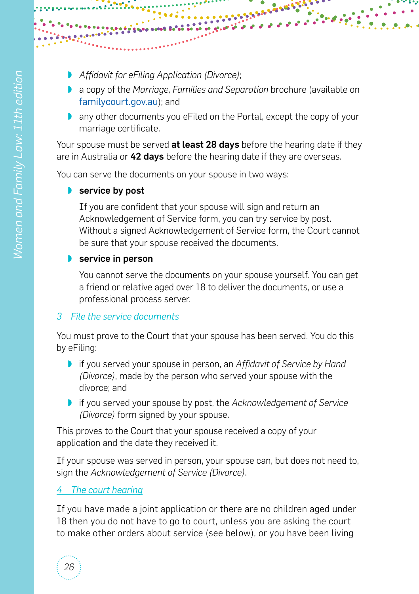- ◗ *Affidavit for eFiling Application (Divorce)*;
- ◗ a copy of the *Marriage, Families and Separation* brochure (available on [familycourt.gov.au](http://familycourt.gov.au)); and

ことならば

◗ any other documents you eFiled on the Portal, except the copy of your marriage certificate.

Your spouse must be served at least 28 days before the hearing date if they are in Australia or 42 days before the hearing date if they are overseas.

You can serve the documents on your spouse in two ways:

#### **■** service by post

If you are confident that your spouse will sign and return an Acknowledgement of Service form, you can try service by post. Without a signed Acknowledgement of Service form, the Court cannot be sure that your spouse received the documents.

#### **■** service in person

You cannot serve the documents on your spouse yourself. You can get a friend or relative aged over 18 to deliver the documents, or use a professional process server.

# *3 File the service documents*

You must prove to the Court that your spouse has been served. You do this by eFiling:

- ◗ if you served your spouse in person, an *Affidavit of Service by Hand (Divorce)*, made by the person who served your spouse with the divorce; and
- ◗ if you served your spouse by post, the *Acknowledgement of Service (Divorce)* form signed by your spouse.

This proves to the Court that your spouse received a copy of your application and the date they received it.

If your spouse was served in person, your spouse can, but does not need to, sign the *Acknowledgement of Service (Divorce)*.

# *4 The court hearing*

If you have made a joint application or there are no children aged under 18 then you do not have to go to court, unless you are asking the court to make other orders about service (see below), or you have been living

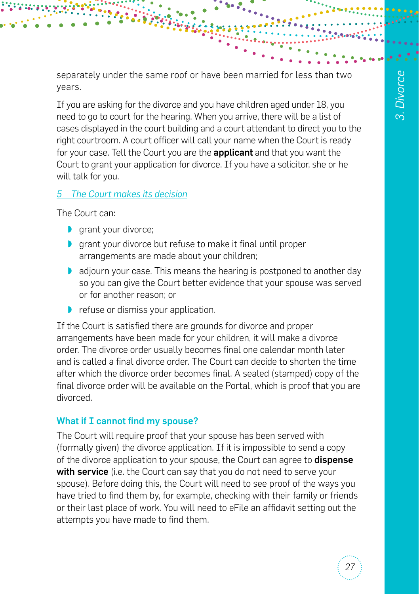separately under the same roof or have been married for less than two years.

If you are asking for the divorce and you have children aged under 18, you need to go to court for the hearing. When you arrive, there will be a list of cases displayed in the court building and a court attendant to direct you to the right courtroom. A court officer will call your name when the Court is ready for your case. Tell the Court you are the **applicant** and that you want the Court to grant your application for divorce. If you have a solicitor, she or he will talk for you.

## *5 The Court makes its decision*

The Court can:

- **D** grant your divorce;
- ◗ grant your divorce but refuse to make it final until proper arrangements are made about your children;
- ◗ adjourn your case. This means the hearing is postponed to another day so you can give the Court better evidence that your spouse was served or for another reason; or
- ◗ refuse or dismiss your application.

If the Court is satisfied there are grounds for divorce and proper arrangements have been made for your children, it will make a divorce order. The divorce order usually becomes final one calendar month later and is called a final divorce order. The Court can decide to shorten the time after which the divorce order becomes final. A sealed (stamped) copy of the final divorce order will be available on the Portal, which is proof that you are divorced.

# What if I cannot find my spouse?

The Court will require proof that your spouse has been served with (formally given) the divorce application. If it is impossible to send a copy of the divorce application to your spouse, the Court can agree to **dispense** with service (i.e. the Court can say that you do not need to serve your spouse). Before doing this, the Court will need to see proof of the ways you have tried to find them by, for example, checking with their family or friends or their last place of work. You will need to eFile an affidavit setting out the attempts you have made to find them.

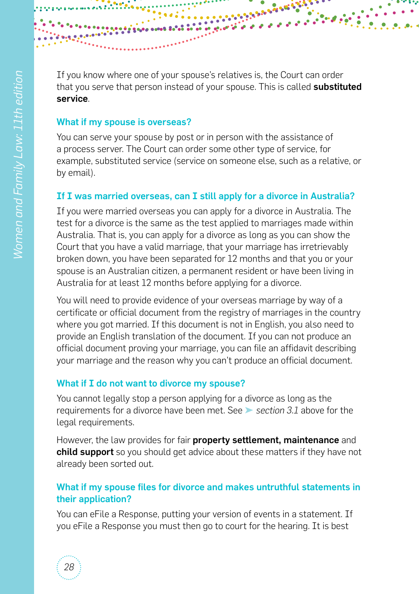

If you know where one of your spouse's relatives is, the Court can order that you serve that person instead of your spouse. This is called substituted service.

#### What if my spouse is overseas?

You can serve your spouse by post or in person with the assistance of a process server. The Court can order some other type of service, for example, substituted service (service on someone else, such as a relative, or by email).

## If I was married overseas, can I still apply for a divorce in Australia?

If you were married overseas you can apply for a divorce in Australia. The test for a divorce is the same as the test applied to marriages made within Australia. That is, you can apply for a divorce as long as you can show the Court that you have a valid marriage, that your marriage has irretrievably broken down, you have been separated for 12 months and that you or your spouse is an Australian citizen, a permanent resident or have been living in Australia for at least 12 months before applying for a divorce.

You will need to provide evidence of your overseas marriage by way of a certificate or official document from the registry of marriages in the country where you got married. If this document is not in English, you also need to provide an English translation of the document. If you can not produce an official document proving your marriage, you can file an affidavit describing your marriage and the reason why you can't produce an official document.

# What if I do not want to divorce my spouse?

You cannot legally stop a person applying for a divorce as long as the requirements for a divorce have been met. See ➤ *section 3.1* above for the legal requirements.

However, the law provides for fair **property settlement, maintenance** and **child support** so you should get advice about these matters if they have not already been sorted out.

# What if my spouse files for divorce and makes untruthful statements in their application?

You can eFile a Response, putting your version of events in a statement. If you eFile a Response you must then go to court for the hearing. It is best

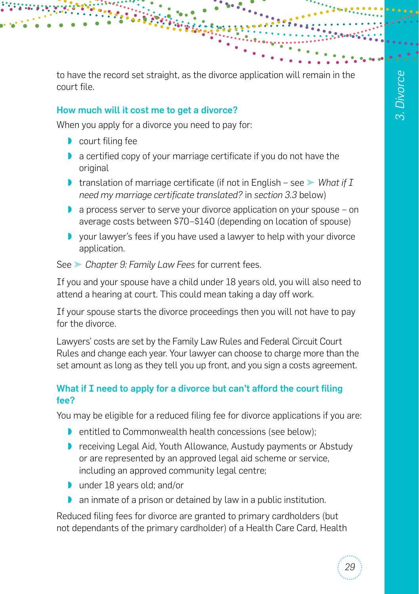to have the record set straight, as the divorce application will remain in the court file.

#### How much will it cost me to get a divorce?

When you apply for a divorce you need to pay for:

- court filing fee
- ◗ a certified copy of your marriage certificate if you do not have the original
- ◗ translation of marriage certificate (if not in English see ➤ *What if I need my marriage certificate translated?* in *section 3.3* below)
- ◗ a process server to serve your divorce application on your spouse on average costs between \$70–\$140 (depending on location of spouse)
- ◗ your lawyer's fees if you have used a lawyer to help with your divorce application.

See ➤ *Chapter 9: Family Law Fees* for current fees.

If you and your spouse have a child under 18 years old, you will also need to attend a hearing at court. This could mean taking a day off work.

If your spouse starts the divorce proceedings then you will not have to pay for the divorce.

Lawyers' costs are set by the Family Law Rules and Federal Circuit Court Rules and change each year. Your lawyer can choose to charge more than the set amount as long as they tell you up front, and you sign a costs agreement.

#### What if I need to apply for a divorce but can't afford the court filing fee?

You may be eligible for a reduced filing fee for divorce applications if you are:

- ◗ entitled to Commonwealth health concessions (see below);
- ◗ receiving Legal Aid, Youth Allowance, Austudy payments or Abstudy or are represented by an approved legal aid scheme or service, including an approved community legal centre;
- under 18 years old; and/or
- ◗ an inmate of a prison or detained by law in a public institution.

Reduced filing fees for divorce are granted to primary cardholders (but not dependants of the primary cardholder) of a Health Care Card, Health

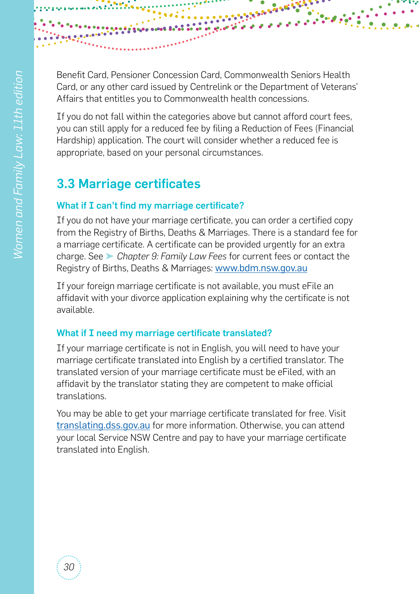

Benefit Card, Pensioner Concession Card, Commonwealth Seniors Health Card, or any other card issued by Centrelink or the Department of Veterans' Affairs that entitles you to Commonwealth health concessions.

If you do not fall within the categories above but cannot afford court fees, you can still apply for a reduced fee by filing a Reduction of Fees (Financial Hardship) application. The court will consider whether a reduced fee is appropriate, based on your personal circumstances.

# 3.3 Marriage certificates

# What if I can't find my marriage certificate?

If you do not have your marriage certificate, you can order a certified copy from the Registry of Births, Deaths & Marriages. There is a standard fee for a marriage certificate. A certificate can be provided urgently for an extra charge. See ➤ *Chapter 9: Family Law Fees* for current fees or contact the Registry of Births, Deaths & Marriages: [www.bdm.nsw.gov.au](http://www.bdm.nsw.gov.au)

If your foreign marriage certificate is not available, you must eFile an affidavit with your divorce application explaining why the certificate is not available.

# What if I need my marriage certificate translated?

If your marriage certificate is not in English, you will need to have your marriage certificate translated into English by a certified translator. The translated version of your marriage certificate must be eFiled, with an affidavit by the translator stating they are competent to make official translations.

You may be able to get your marriage certificate translated for free. Visit [translating.dss.gov.au](http://translating.dss.gov.au) for more information. Otherwise, you can attend your local Service NSW Centre and pay to have your marriage certificate translated into English.